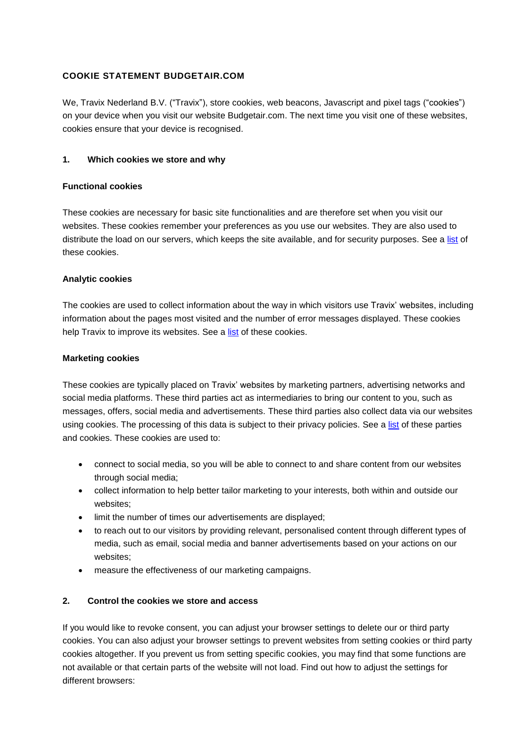## **COOKIE STATEMENT BUDGETAIR.COM**

We, Travix Nederland B.V. ("Travix"), store cookies, web beacons, Javascript and pixel tags ("cookies") on your device when you visit our website Budgetair.com. The next time you visit one of these websites, cookies ensure that your device is recognised.

### **1. Which cookies we store and why**

#### **Functional cookies**

These cookies are necessary for basic site functionalities and are therefore set when you visit our websites. These cookies remember your preferences as you use our websites. They are also used to distribute the load on our servers, which keeps the site available, and for security purposes. See [a list](https://s1.travix.com/budgetair/PH/assets/pdf/buaph-cookie-list-en.pdf) of these cookies.

#### **Analytic cookies**

The cookies are used to collect information about the way in which visitors use Travix' websites, including information about the pages most visited and the number of error messages displayed. These cookies help Travix to improve its websites. See a [list](https://s1.travix.com/budgetair/PH/assets/pdf/buaph-cookie-list-en.pdf) of these cookies.

#### **Marketing cookies**

These cookies are typically placed on Travix' websites by marketing partners, advertising networks and social media platforms. These third parties act as intermediaries to bring our content to you, such as messages, offers, social media and advertisements. These third parties also collect data via our websites using cookies. The processing of this data is subject to their privacy policies. See a [list](https://s1.travix.com/budgetair/PH/assets/pdf/buaph-cookie-list-en.pdf) of these parties and cookies. These cookies are used to:

- connect to social media, so you will be able to connect to and share content from our websites through social media;
- collect information to help better tailor marketing to your interests, both within and outside our websites;
- limit the number of times our advertisements are displayed;
- to reach out to our visitors by providing relevant, personalised content through different types of media, such as email, social media and banner advertisements based on your actions on our websites;
- measure the effectiveness of our marketing campaigns.

## **2. Control the cookies we store and access**

If you would like to revoke consent, you can adjust your browser settings to delete our or third party cookies. You can also adjust your browser settings to prevent websites from setting cookies or third party cookies altogether. If you prevent us from setting specific cookies, you may find that some functions are not available or that certain parts of the website will not load. Find out how to adjust the settings for different browsers: